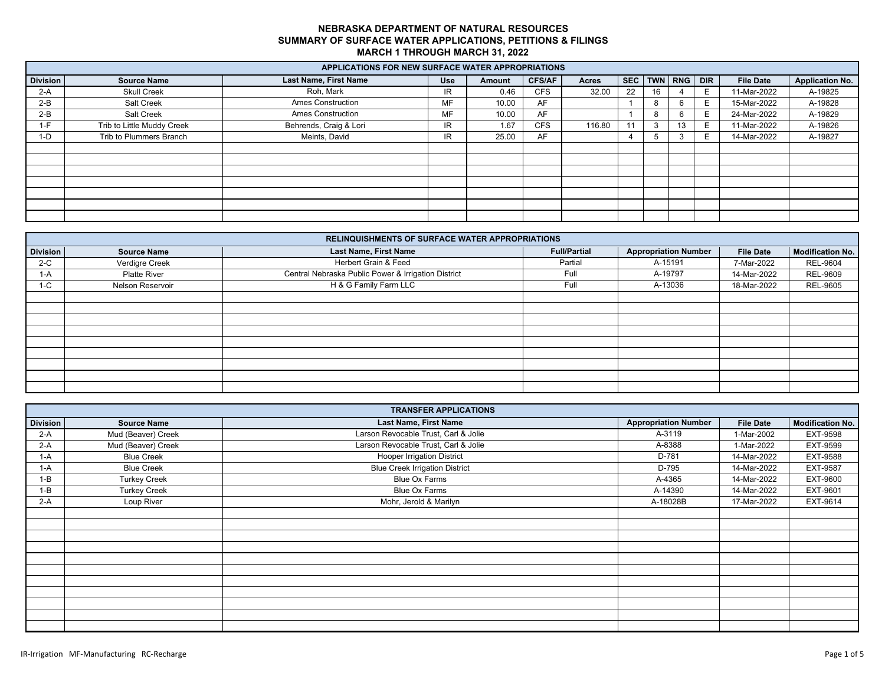|                 | <b>APPLICATIONS FOR NEW SURFACE WATER APPROPRIATIONS</b> |                              |            |        |               |        |    |                 |    |   |                  |                        |
|-----------------|----------------------------------------------------------|------------------------------|------------|--------|---------------|--------|----|-----------------|----|---|------------------|------------------------|
| <b>Division</b> | <b>Source Name</b>                                       | <b>Last Name, First Name</b> | <b>Use</b> | Amount | <b>CFS/AF</b> | Acres  |    | SEC TWN RNG DIR |    |   | <b>File Date</b> | <b>Application No.</b> |
| $2-A$           | <b>Skull Creek</b>                                       | Roh. Mark                    | IR.        | 0.46   | <b>CFS</b>    | 32.00  | 22 | 16              |    | E | 11-Mar-2022      | A-19825                |
| $2-B$           | Salt Creek                                               | <b>Ames Construction</b>     | <b>MF</b>  | 10.00  | AF            |        |    |                 |    | Е | 15-Mar-2022      | A-19828                |
| $2-B$           | Salt Creek                                               | <b>Ames Construction</b>     | MF         | 10.00  | AF            |        |    |                 |    | Е | 24-Mar-2022      | A-19829                |
| 1-F             | Trib to Little Muddy Creek                               | Behrends, Craig & Lori       | IR.        | 1.67   | <b>CFS</b>    | 116.80 | 11 |                 | 13 | Е | 11-Mar-2022      | A-19826                |
| 1-D             | Trib to Plummers Branch                                  | Meints, David                | IR         | 25.00  | AF            |        | 4  |                 |    | Е | 14-Mar-2022      | A-19827                |
|                 |                                                          |                              |            |        |               |        |    |                 |    |   |                  |                        |
|                 |                                                          |                              |            |        |               |        |    |                 |    |   |                  |                        |
|                 |                                                          |                              |            |        |               |        |    |                 |    |   |                  |                        |
|                 |                                                          |                              |            |        |               |        |    |                 |    |   |                  |                        |
|                 |                                                          |                              |            |        |               |        |    |                 |    |   |                  |                        |
|                 |                                                          |                              |            |        |               |        |    |                 |    |   |                  |                        |
|                 |                                                          |                              |            |        |               |        |    |                 |    |   |                  |                        |

|                 | <b>RELINQUISHMENTS OF SURFACE WATER APPROPRIATIONS</b> |                                                     |                     |                             |                  |                         |  |  |  |  |  |  |  |
|-----------------|--------------------------------------------------------|-----------------------------------------------------|---------------------|-----------------------------|------------------|-------------------------|--|--|--|--|--|--|--|
| <b>Division</b> | <b>Source Name</b>                                     | <b>Last Name, First Name</b>                        | <b>Full/Partial</b> | <b>Appropriation Number</b> | <b>File Date</b> | <b>Modification No.</b> |  |  |  |  |  |  |  |
| $2-C$           | Verdigre Creek                                         | Herbert Grain & Feed                                | Partial             | A-15191                     | 7-Mar-2022       | <b>REL-9604</b>         |  |  |  |  |  |  |  |
| $1-A$           | <b>Platte River</b>                                    | Central Nebraska Public Power & Irrigation District | Full                | A-19797                     | 14-Mar-2022      | REL-9609                |  |  |  |  |  |  |  |
| $1-C$           | Nelson Reservoir                                       | H & G Family Farm LLC                               | Full                | A-13036                     | 18-Mar-2022      | <b>REL-9605</b>         |  |  |  |  |  |  |  |
|                 |                                                        |                                                     |                     |                             |                  |                         |  |  |  |  |  |  |  |
|                 |                                                        |                                                     |                     |                             |                  |                         |  |  |  |  |  |  |  |
|                 |                                                        |                                                     |                     |                             |                  |                         |  |  |  |  |  |  |  |
|                 |                                                        |                                                     |                     |                             |                  |                         |  |  |  |  |  |  |  |
|                 |                                                        |                                                     |                     |                             |                  |                         |  |  |  |  |  |  |  |
|                 |                                                        |                                                     |                     |                             |                  |                         |  |  |  |  |  |  |  |
|                 |                                                        |                                                     |                     |                             |                  |                         |  |  |  |  |  |  |  |
|                 |                                                        |                                                     |                     |                             |                  |                         |  |  |  |  |  |  |  |
|                 |                                                        |                                                     |                     |                             |                  |                         |  |  |  |  |  |  |  |

|                 | <b>TRANSFER APPLICATIONS</b> |                                       |                             |                  |                         |  |  |  |  |  |  |  |
|-----------------|------------------------------|---------------------------------------|-----------------------------|------------------|-------------------------|--|--|--|--|--|--|--|
| <b>Division</b> | <b>Source Name</b>           | Last Name, First Name                 | <b>Appropriation Number</b> | <b>File Date</b> | <b>Modification No.</b> |  |  |  |  |  |  |  |
| $2-A$           | Mud (Beaver) Creek           | Larson Revocable Trust, Carl & Jolie  | A-3119                      | 1-Mar-2002       | EXT-9598                |  |  |  |  |  |  |  |
| $2-A$           | Mud (Beaver) Creek           | Larson Revocable Trust, Carl & Jolie  | A-8388                      | 1-Mar-2022       | EXT-9599                |  |  |  |  |  |  |  |
| 1-A             | <b>Blue Creek</b>            | <b>Hooper Irrigation District</b>     | D-781                       | 14-Mar-2022      | EXT-9588                |  |  |  |  |  |  |  |
| $1-A$           | <b>Blue Creek</b>            | <b>Blue Creek Irrigation District</b> | D-795                       | 14-Mar-2022      | EXT-9587                |  |  |  |  |  |  |  |
| $1 - B$         | <b>Turkey Creek</b>          | Blue Ox Farms                         | A-4365                      | 14-Mar-2022      | EXT-9600                |  |  |  |  |  |  |  |
| $1 - B$         | <b>Turkey Creek</b>          | Blue Ox Farms                         | A-14390                     | 14-Mar-2022      | EXT-9601                |  |  |  |  |  |  |  |
| $2-A$           | Loup River                   | Mohr, Jerold & Marilyn                | A-18028B                    | 17-Mar-2022      | EXT-9614                |  |  |  |  |  |  |  |
|                 |                              |                                       |                             |                  |                         |  |  |  |  |  |  |  |
|                 |                              |                                       |                             |                  |                         |  |  |  |  |  |  |  |
|                 |                              |                                       |                             |                  |                         |  |  |  |  |  |  |  |
|                 |                              |                                       |                             |                  |                         |  |  |  |  |  |  |  |
|                 |                              |                                       |                             |                  |                         |  |  |  |  |  |  |  |
|                 |                              |                                       |                             |                  |                         |  |  |  |  |  |  |  |
|                 |                              |                                       |                             |                  |                         |  |  |  |  |  |  |  |
|                 |                              |                                       |                             |                  |                         |  |  |  |  |  |  |  |
|                 |                              |                                       |                             |                  |                         |  |  |  |  |  |  |  |
|                 |                              |                                       |                             |                  |                         |  |  |  |  |  |  |  |
|                 |                              |                                       |                             |                  |                         |  |  |  |  |  |  |  |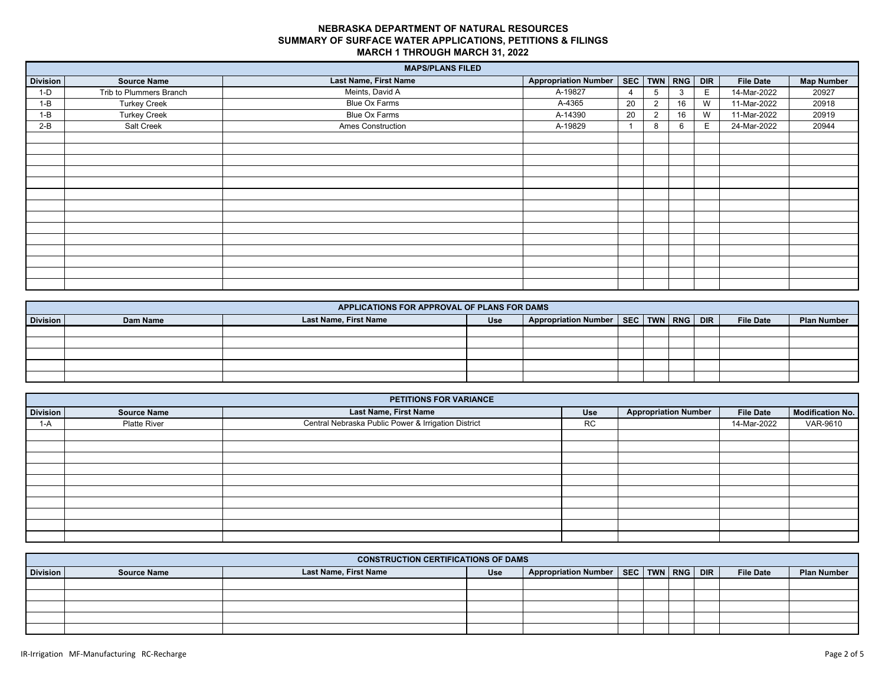|                 |                         | <b>MAPS/PLANS FILED</b>  |                             |                         |                       |    |                  |                   |
|-----------------|-------------------------|--------------------------|-----------------------------|-------------------------|-----------------------|----|------------------|-------------------|
| <b>Division</b> | <b>Source Name</b>      | Last Name, First Name    | <b>Appropriation Number</b> |                         | SEC   TWN   RNG   DIR |    | <b>File Date</b> | <b>Map Number</b> |
| $1-D$           | Trib to Plummers Branch | Meints, David A          | A-19827                     | 4                       |                       | E. | 14-Mar-2022      | 20927             |
| $1 - B$         | <b>Turkey Creek</b>     | Blue Ox Farms            | A-4365                      | 20                      | 16                    | W  | 11-Mar-2022      | 20918             |
| $1 - B$         | <b>Turkey Creek</b>     | Blue Ox Farms            | A-14390                     | 20                      | 16                    | W  | 11-Mar-2022      | 20919             |
| $2-B$           | Salt Creek              | <b>Ames Construction</b> | A-19829                     | $\overline{\mathbf{1}}$ | 6                     | E. | 24-Mar-2022      | 20944             |
|                 |                         |                          |                             |                         |                       |    |                  |                   |
|                 |                         |                          |                             |                         |                       |    |                  |                   |
|                 |                         |                          |                             |                         |                       |    |                  |                   |
|                 |                         |                          |                             |                         |                       |    |                  |                   |
|                 |                         |                          |                             |                         |                       |    |                  |                   |
|                 |                         |                          |                             |                         |                       |    |                  |                   |
|                 |                         |                          |                             |                         |                       |    |                  |                   |
|                 |                         |                          |                             |                         |                       |    |                  |                   |
|                 |                         |                          |                             |                         |                       |    |                  |                   |
|                 |                         |                          |                             |                         |                       |    |                  |                   |
|                 |                         |                          |                             |                         |                       |    |                  |                   |
|                 |                         |                          |                             |                         |                       |    |                  |                   |
|                 |                         |                          |                             |                         |                       |    |                  |                   |
|                 |                         |                          |                             |                         |                       |    |                  |                   |

|          | APPLICATIONS FOR APPROVAL OF PLANS FOR DAMS |                       |            |                                              |  |  |  |  |                  |                    |
|----------|---------------------------------------------|-----------------------|------------|----------------------------------------------|--|--|--|--|------------------|--------------------|
| Division | Dam Name                                    | Last Name, First Name | <b>Use</b> | Appropriation Number   SEC   TWN   RNG   DIR |  |  |  |  | <b>File Date</b> | <b>Plan Number</b> |
|          |                                             |                       |            |                                              |  |  |  |  |                  |                    |
|          |                                             |                       |            |                                              |  |  |  |  |                  |                    |
|          |                                             |                       |            |                                              |  |  |  |  |                  |                    |
|          |                                             |                       |            |                                              |  |  |  |  |                  |                    |
|          |                                             |                       |            |                                              |  |  |  |  |                  |                    |

|                 | PETITIONS FOR VARIANCE |                                                     |           |                             |                  |                  |  |  |  |  |  |  |
|-----------------|------------------------|-----------------------------------------------------|-----------|-----------------------------|------------------|------------------|--|--|--|--|--|--|
| <b>Division</b> | <b>Source Name</b>     | <b>Last Name, First Name</b>                        | Use       | <b>Appropriation Number</b> | <b>File Date</b> | Modification No. |  |  |  |  |  |  |
| 1-A             | Platte River           | Central Nebraska Public Power & Irrigation District | <b>RC</b> |                             | 14-Mar-2022      | VAR-9610         |  |  |  |  |  |  |
|                 |                        |                                                     |           |                             |                  |                  |  |  |  |  |  |  |
|                 |                        |                                                     |           |                             |                  |                  |  |  |  |  |  |  |
|                 |                        |                                                     |           |                             |                  |                  |  |  |  |  |  |  |
|                 |                        |                                                     |           |                             |                  |                  |  |  |  |  |  |  |
|                 |                        |                                                     |           |                             |                  |                  |  |  |  |  |  |  |
|                 |                        |                                                     |           |                             |                  |                  |  |  |  |  |  |  |
|                 |                        |                                                     |           |                             |                  |                  |  |  |  |  |  |  |
|                 |                        |                                                     |           |                             |                  |                  |  |  |  |  |  |  |
|                 |                        |                                                     |           |                             |                  |                  |  |  |  |  |  |  |
|                 |                        |                                                     |           |                             |                  |                  |  |  |  |  |  |  |

|          | <b>CONSTRUCTION CERTIFICATIONS OF DAMS</b> |                       |            |                                              |  |  |  |  |                  |                    |
|----------|--------------------------------------------|-----------------------|------------|----------------------------------------------|--|--|--|--|------------------|--------------------|
| Division | <b>Source Name</b>                         | Last Name, First Name | <b>Use</b> | Appropriation Number   SEC   TWN   RNG   DIR |  |  |  |  | <b>File Date</b> | <b>Plan Number</b> |
|          |                                            |                       |            |                                              |  |  |  |  |                  |                    |
|          |                                            |                       |            |                                              |  |  |  |  |                  |                    |
|          |                                            |                       |            |                                              |  |  |  |  |                  |                    |
|          |                                            |                       |            |                                              |  |  |  |  |                  |                    |
|          |                                            |                       |            |                                              |  |  |  |  |                  |                    |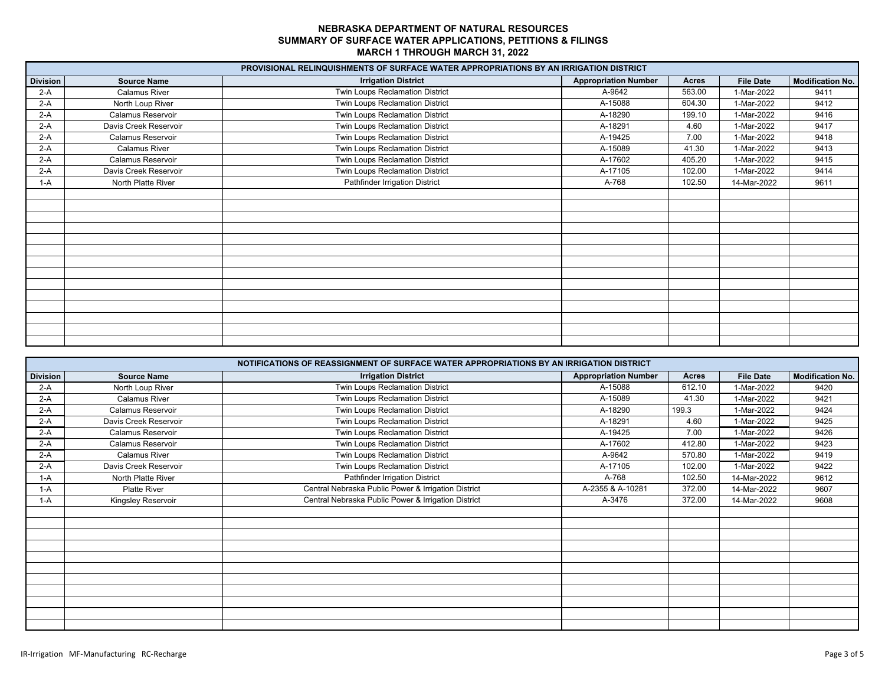|                 |                       | PROVISIONAL RELINQUISHMENTS OF SURFACE WATER APPROPRIATIONS BY AN IRRIGATION DISTRICT |                             |              |                  |                         |
|-----------------|-----------------------|---------------------------------------------------------------------------------------|-----------------------------|--------------|------------------|-------------------------|
| <b>Division</b> | <b>Source Name</b>    | <b>Irrigation District</b>                                                            | <b>Appropriation Number</b> | <b>Acres</b> | <b>File Date</b> | <b>Modification No.</b> |
| $2-A$           | Calamus River         | Twin Loups Reclamation District                                                       | A-9642                      | 563.00       | 1-Mar-2022       | 9411                    |
| $2-A$           | North Loup River      | Twin Loups Reclamation District                                                       | A-15088                     | 604.30       | 1-Mar-2022       | 9412                    |
| $2-A$           | Calamus Reservoir     | Twin Loups Reclamation District                                                       | A-18290                     | 199.10       | 1-Mar-2022       | 9416                    |
| $2-A$           | Davis Creek Reservoir | Twin Loups Reclamation District                                                       | A-18291                     | 4.60         | 1-Mar-2022       | 9417                    |
| $2-A$           | Calamus Reservoir     | Twin Loups Reclamation District                                                       | A-19425                     | 7.00         | 1-Mar-2022       | 9418                    |
| $2-A$           | Calamus River         | Twin Loups Reclamation District                                                       | A-15089                     | 41.30        | 1-Mar-2022       | 9413                    |
| $2-A$           | Calamus Reservoir     | Twin Loups Reclamation District                                                       | A-17602                     | 405.20       | 1-Mar-2022       | 9415                    |
| $2-A$           | Davis Creek Reservoir | Twin Loups Reclamation District                                                       | A-17105                     | 102.00       | 1-Mar-2022       | 9414                    |
| $1-A$           | North Platte River    | Pathfinder Irrigation District                                                        | A-768                       | 102.50       | 14-Mar-2022      | 9611                    |
|                 |                       |                                                                                       |                             |              |                  |                         |
|                 |                       |                                                                                       |                             |              |                  |                         |
|                 |                       |                                                                                       |                             |              |                  |                         |
|                 |                       |                                                                                       |                             |              |                  |                         |
|                 |                       |                                                                                       |                             |              |                  |                         |
|                 |                       |                                                                                       |                             |              |                  |                         |
|                 |                       |                                                                                       |                             |              |                  |                         |
|                 |                       |                                                                                       |                             |              |                  |                         |
|                 |                       |                                                                                       |                             |              |                  |                         |
|                 |                       |                                                                                       |                             |              |                  |                         |
|                 |                       |                                                                                       |                             |              |                  |                         |
|                 |                       |                                                                                       |                             |              |                  |                         |
|                 |                       |                                                                                       |                             |              |                  |                         |
|                 |                       |                                                                                       |                             |              |                  |                         |

|                 |                       | NOTIFICATIONS OF REASSIGNMENT OF SURFACE WATER APPROPRIATIONS BY AN IRRIGATION DISTRICT |                             |        |                  |                         |
|-----------------|-----------------------|-----------------------------------------------------------------------------------------|-----------------------------|--------|------------------|-------------------------|
| <b>Division</b> | <b>Source Name</b>    | <b>Irrigation District</b>                                                              | <b>Appropriation Number</b> | Acres  | <b>File Date</b> | <b>Modification No.</b> |
| $2-A$           | North Loup River      | Twin Loups Reclamation District                                                         | A-15088                     | 612.10 | 1-Mar-2022       | 9420                    |
| $2-A$           | <b>Calamus River</b>  | Twin Loups Reclamation District                                                         | A-15089                     | 41.30  | 1-Mar-2022       | 9421                    |
| $2-A$           | Calamus Reservoir     | Twin Loups Reclamation District                                                         | A-18290                     | 199.3  | 1-Mar-2022       | 9424                    |
| $2-A$           | Davis Creek Reservoir | Twin Loups Reclamation District                                                         | A-18291                     | 4.60   | 1-Mar-2022       | 9425                    |
| $2-A$           | Calamus Reservoir     | Twin Loups Reclamation District                                                         | A-19425                     | 7.00   | 1-Mar-2022       | 9426                    |
| $2-A$           | Calamus Reservoir     | Twin Loups Reclamation District                                                         | A-17602                     | 412.80 | 1-Mar-2022       | 9423                    |
| $2-A$           | <b>Calamus River</b>  | Twin Loups Reclamation District                                                         | A-9642                      | 570.80 | 1-Mar-2022       | 9419                    |
| $2-A$           | Davis Creek Reservoir | Twin Loups Reclamation District                                                         | A-17105                     | 102.00 | 1-Mar-2022       | 9422                    |
| $1-A$           | North Platte River    | Pathfinder Irrigation District                                                          | A-768                       | 102.50 | 14-Mar-2022      | 9612                    |
| $1-A$           | <b>Platte River</b>   | Central Nebraska Public Power & Irrigation District                                     | A-2355 & A-10281            | 372.00 | 14-Mar-2022      | 9607                    |
| $1-A$           | Kingsley Reservoir    | Central Nebraska Public Power & Irrigation District                                     | A-3476                      | 372.00 | 14-Mar-2022      | 9608                    |
|                 |                       |                                                                                         |                             |        |                  |                         |
|                 |                       |                                                                                         |                             |        |                  |                         |
|                 |                       |                                                                                         |                             |        |                  |                         |
|                 |                       |                                                                                         |                             |        |                  |                         |
|                 |                       |                                                                                         |                             |        |                  |                         |
|                 |                       |                                                                                         |                             |        |                  |                         |
|                 |                       |                                                                                         |                             |        |                  |                         |
|                 |                       |                                                                                         |                             |        |                  |                         |
|                 |                       |                                                                                         |                             |        |                  |                         |
|                 |                       |                                                                                         |                             |        |                  |                         |
|                 |                       |                                                                                         |                             |        |                  |                         |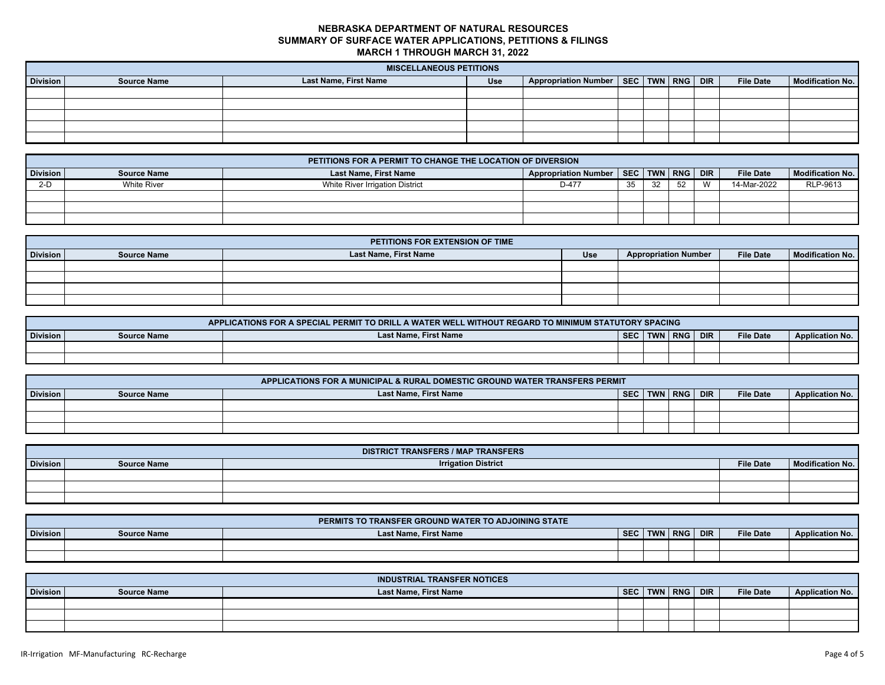|                 | <b>MISCELLANEOUS PETITIONS</b> |                       |            |                                              |  |  |  |  |                  |                  |
|-----------------|--------------------------------|-----------------------|------------|----------------------------------------------|--|--|--|--|------------------|------------------|
| <b>Division</b> | <b>Source Name</b>             | Last Name, First Name | <b>Use</b> | Appropriation Number   SEC   TWN   RNG   DIR |  |  |  |  | <b>File Date</b> | Modification No. |
|                 |                                |                       |            |                                              |  |  |  |  |                  |                  |
|                 |                                |                       |            |                                              |  |  |  |  |                  |                  |
|                 |                                |                       |            |                                              |  |  |  |  |                  |                  |
|                 |                                |                       |            |                                              |  |  |  |  |                  |                  |
|                 |                                |                       |            |                                              |  |  |  |  |                  |                  |

|          | PETITIONS FOR A PERMIT TO CHANGE THE LOCATION OF DIVERSION |                                 |                                              |    |     |    |              |                  |                         |  |
|----------|------------------------------------------------------------|---------------------------------|----------------------------------------------|----|-----|----|--------------|------------------|-------------------------|--|
| Division | <b>Source Name</b>                                         | <b>Last Name, First Name</b>    | Appropriation Number   SEC   TWN   RNG   DIR |    |     |    |              | <b>File Date</b> | <b>Modification No.</b> |  |
| $2-D$    | <b>White River</b>                                         | White River Irrigation District | D-477                                        | 35 | -32 | 52 | $\mathbf{M}$ | 14-Mar-2022      | RLP-9613                |  |
|          |                                                            |                                 |                                              |    |     |    |              |                  |                         |  |
|          |                                                            |                                 |                                              |    |     |    |              |                  |                         |  |
|          |                                                            |                                 |                                              |    |     |    |              |                  |                         |  |

|                 | PETITIONS FOR EXTENSION OF TIME |                       |            |                             |                  |                  |  |  |  |  |  |
|-----------------|---------------------------------|-----------------------|------------|-----------------------------|------------------|------------------|--|--|--|--|--|
| <b>Division</b> | <b>Source Name</b>              | Last Name, First Name | <b>Use</b> | <b>Appropriation Number</b> | <b>File Date</b> | Modification No. |  |  |  |  |  |
|                 |                                 |                       |            |                             |                  |                  |  |  |  |  |  |
|                 |                                 |                       |            |                             |                  |                  |  |  |  |  |  |
|                 |                                 |                       |            |                             |                  |                  |  |  |  |  |  |
|                 |                                 |                       |            |                             |                  |                  |  |  |  |  |  |

| APPLICATIONS FOR A SPECIAL PERMIT TO DRILL A WATER WELL WITHOUT REGARD TO MINIMUM STATUTORY SPACING |             |                       |            |            |            |            |                  |                        |  |  |
|-----------------------------------------------------------------------------------------------------|-------------|-----------------------|------------|------------|------------|------------|------------------|------------------------|--|--|
| <b>Division</b>                                                                                     | Source Name | Last Name, First Name | <b>SEC</b> | <b>TWN</b> | <b>RNG</b> | <b>DIR</b> | <b>File Date</b> | <b>Application No.</b> |  |  |
|                                                                                                     |             |                       |            |            |            |            |                  |                        |  |  |
|                                                                                                     |             |                       |            |            |            |            |                  |                        |  |  |

|                 | APPLICATIONS FOR A MUNICIPAL & RURAL DOMESTIC GROUND WATER TRANSFERS PERMIT |                       |            |  |         |            |                  |                        |  |  |
|-----------------|-----------------------------------------------------------------------------|-----------------------|------------|--|---------|------------|------------------|------------------------|--|--|
| <b>Division</b> | <b>Source Name</b>                                                          | Last Name, First Name | <b>SEC</b> |  | TWN RNG | <b>DIR</b> | <b>File Date</b> | <b>Application No.</b> |  |  |
|                 |                                                                             |                       |            |  |         |            |                  |                        |  |  |
|                 |                                                                             |                       |            |  |         |            |                  |                        |  |  |
|                 |                                                                             |                       |            |  |         |            |                  |                        |  |  |

|          | <b>DISTRICT TRANSFERS / MAP TRANSFERS</b> |                            |                  |                  |  |  |  |  |  |  |  |
|----------|-------------------------------------------|----------------------------|------------------|------------------|--|--|--|--|--|--|--|
| Division | <b>Source Name</b>                        | <b>Irrigation District</b> | <b>File Date</b> | Modification No. |  |  |  |  |  |  |  |
|          |                                           |                            |                  |                  |  |  |  |  |  |  |  |
|          |                                           |                            |                  |                  |  |  |  |  |  |  |  |
|          |                                           |                            |                  |                  |  |  |  |  |  |  |  |

|          |                    | PERMITS TO TRANSFER GROUND WATER TO ADJOINING STATE |            |            |            |            |                  |                        |
|----------|--------------------|-----------------------------------------------------|------------|------------|------------|------------|------------------|------------------------|
| Division | <b>Source Name</b> | <b>Last Name, First Name</b>                        | <b>SEC</b> | <b>TWN</b> | <b>RNG</b> | <b>DIR</b> | <b>File Date</b> | <b>Application No.</b> |
|          |                    |                                                     |            |            |            |            |                  |                        |
|          |                    |                                                     |            |            |            |            |                  |                        |

|                 |                    | <b>INDUSTRIAL TRANSFER NOTICES</b> |            |             |                  |                        |
|-----------------|--------------------|------------------------------------|------------|-------------|------------------|------------------------|
| <b>Division</b> | <b>Source Name</b> | <b>Last Name, First Name</b>       | <b>SEC</b> | TWN RNG DIR | <b>File Date</b> | <b>Application No.</b> |
|                 |                    |                                    |            |             |                  |                        |
|                 |                    |                                    |            |             |                  |                        |
|                 |                    |                                    |            |             |                  |                        |